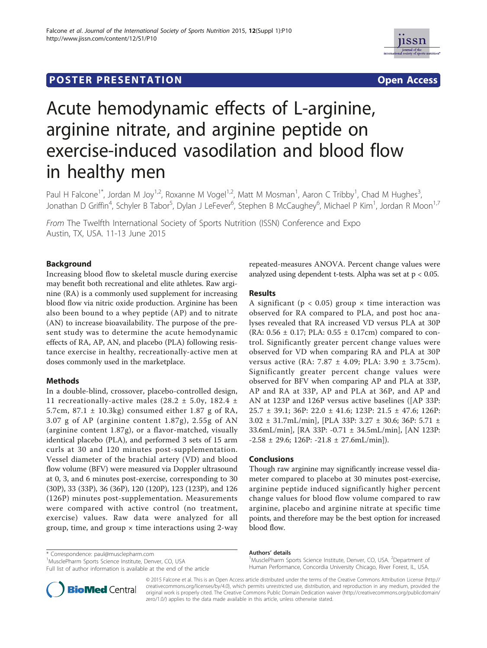



# Acute hemodynamic effects of L-arginine, arginine nitrate, and arginine peptide on exercise-induced vasodilation and blood flow in healthy men

Paul H Falcone<sup>1\*</sup>, Jordan M Joy<sup>1,2</sup>, Roxanne M Vogel<sup>1,2</sup>, Matt M Mosman<sup>1</sup>, Aaron C Tribby<sup>1</sup>, Chad M Hughes<sup>3</sup> , Jonathan D Griffin<sup>4</sup>, Schyler B Tabor<sup>5</sup>, Dylan J LeFever<sup>6</sup>, Stephen B McCaughey<sup>6</sup>, Michael P Kim<sup>1</sup>, Jordan R Moon<sup>1,7</sup>

From The Twelfth International Society of Sports Nutrition (ISSN) Conference and Expo Austin, TX, USA. 11-13 June 2015

## **Background**

Increasing blood flow to skeletal muscle during exercise may benefit both recreational and elite athletes. Raw arginine (RA) is a commonly used supplement for increasing blood flow via nitric oxide production. Arginine has been also been bound to a whey peptide (AP) and to nitrate (AN) to increase bioavailability. The purpose of the present study was to determine the acute hemodynamic effects of RA, AP, AN, and placebo (PLA) following resistance exercise in healthy, recreationally-active men at doses commonly used in the marketplace.

### Methods

In a double-blind, crossover, placebo-controlled design, 11 recreationally-active males (28.2  $\pm$  5.0y, 182.4  $\pm$ 5.7cm, 87.1 ± 10.3kg) consumed either 1.87 g of RA, 3.07 g of AP (arginine content 1.87g), 2.55g of AN (arginine content 1.87g), or a flavor-matched, visually identical placebo (PLA), and performed 3 sets of 15 arm curls at 30 and 120 minutes post-supplementation. Vessel diameter of the brachial artery (VD) and blood flow volume (BFV) were measured via Doppler ultrasound at 0, 3, and 6 minutes post-exercise, corresponding to 30 (30P), 33 (33P), 36 (36P), 120 (120P), 123 (123P), and 126 (126P) minutes post-supplementation. Measurements were compared with active control (no treatment, exercise) values. Raw data were analyzed for all group, time, and group  $\times$  time interactions using 2-way repeated-measures ANOVA. Percent change values were analyzed using dependent t-tests. Alpha was set at p < 0.05.

### Results

A significant ( $p < 0.05$ ) group  $\times$  time interaction was observed for RA compared to PLA, and post hoc analyses revealed that RA increased VD versus PLA at 30P (RA:  $0.56 \pm 0.17$ ; PLA:  $0.55 \pm 0.17$ cm) compared to control. Significantly greater percent change values were observed for VD when comparing RA and PLA at 30P versus active (RA: 7.87 ± 4.09; PLA: 3.90 ± 3.75cm). Significantly greater percent change values were observed for BFV when comparing AP and PLA at 33P, AP and RA at 33P, AP and PLA at 36P, and AP and AN at 123P and 126P versus active baselines ([AP 33P: 25.7 ± 39.1; 36P: 22.0 ± 41.6; 123P: 21.5 ± 47.6; 126P: 3.02 ± 31.7mL/min], [PLA 33P: 3.27 ± 30.6; 36P: 5.71 ± 33.6mL/min], [RA 33P: -0.71 ± 34.5mL/min], [AN 123P:  $-2.58 \pm 29.6$ ; 126P:  $-21.8 \pm 27.6$ mL/min]).

### Conclusions

Though raw arginine may significantly increase vessel diameter compared to placebo at 30 minutes post-exercise, arginine peptide induced significantly higher percent change values for blood flow volume compared to raw arginine, placebo and arginine nitrate at specific time points, and therefore may be the best option for increased blood flow.

\* Correspondence: paul@musclepharm.com

<sup>1</sup>MusclePharm Sports Science Institute, Denver, CO, USA

Full list of author information is available at the end of the article



MusclePharm Sports Science Institute, Denver, CO, USA. <sup>2</sup>Department of Human Performance, Concordia University Chicago, River Forest, IL, USA.



© 2015 Falcone et al. This is an Open Access article distributed under the terms of the Creative Commons Attribution License (http:// creativecommons.org/licenses/by/4.0), which permits unrestricted use, distribution, and reproduction in any medium, provided the original work is properly cited. The Creative Commons Public Domain Dedication waiver (http://creativecommons.org/publicdomain/ zero/1.0/) applies to the data made available in this article, unless otherwise stated.